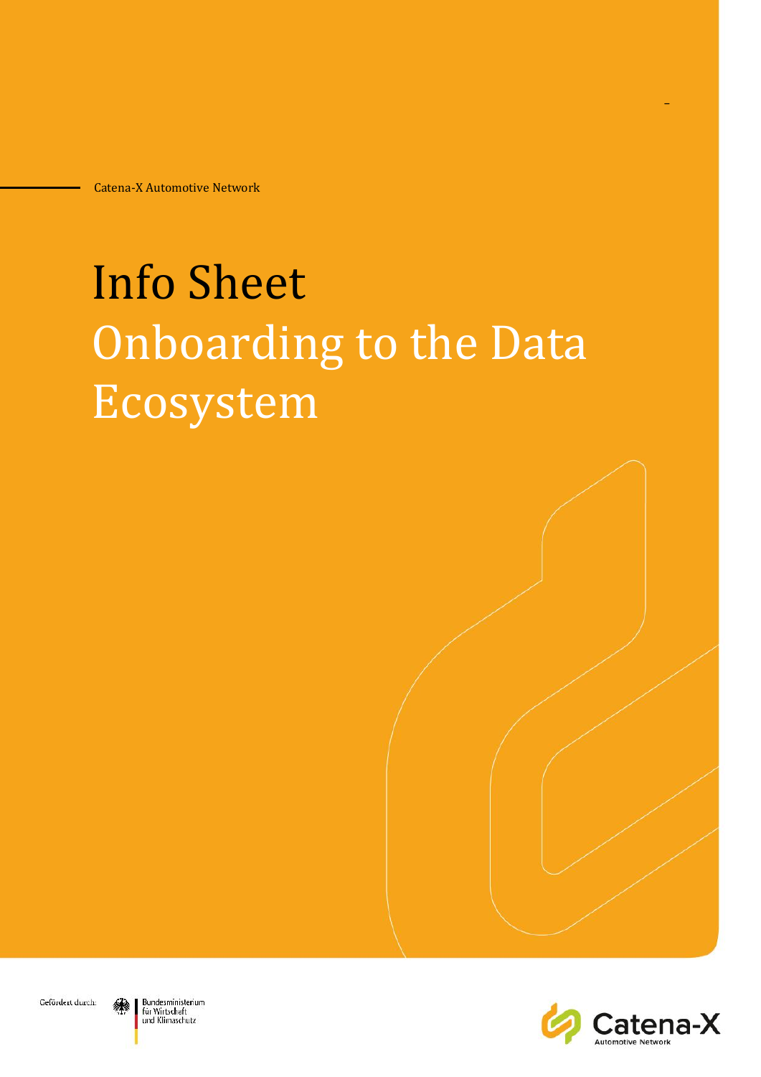# Info Sheet Onboarding to the Data Ecosystem





 $\mathbf{r}$ 



Bundesministerium für Wirtschaft und Klimaschutz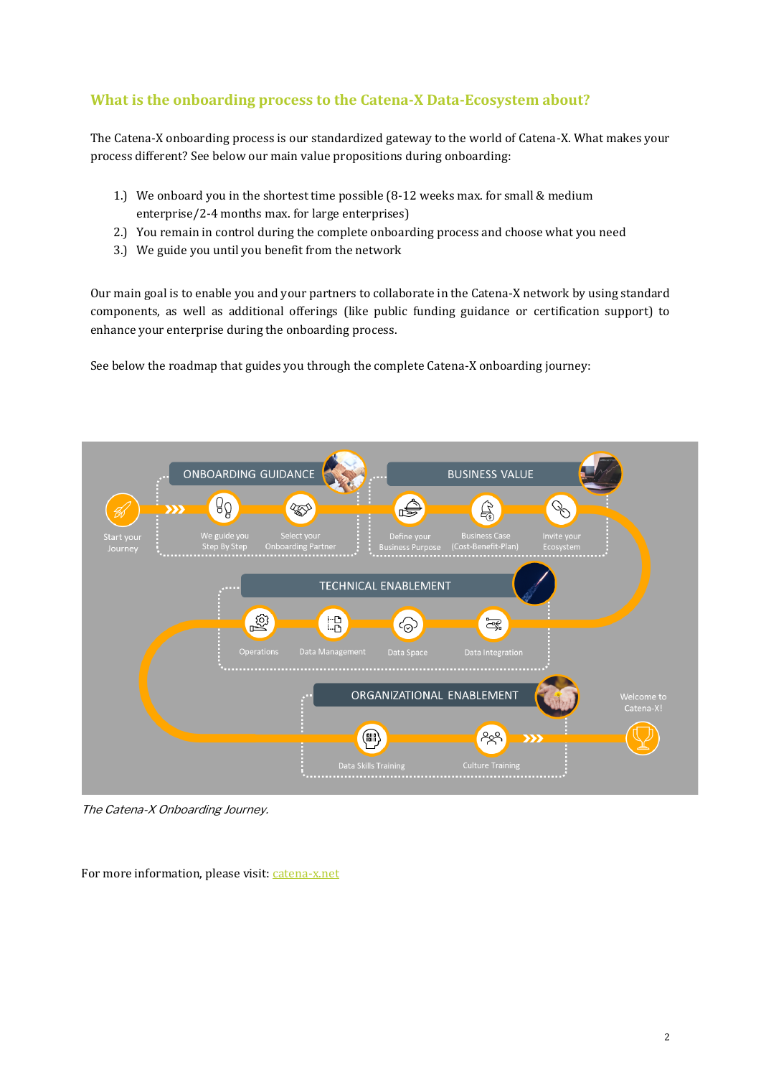# **What is the onboarding process to the Catena-X Data-Ecosystem about?**

The Catena-X onboarding process is our standardized gateway to the world of Catena-X. What makes your process different? See below our main value propositions during onboarding:

- 1.) We onboard you in the shortest time possible (8-12 weeks max. for small & medium enterprise/2-4 months max. for large enterprises)
- 2.) You remain in control during the complete onboarding process and choose what you need
- 3.) We guide you until you benefit from the network

Our main goal is to enable you and your partners to collaborate in the Catena-X network by using standard components, as well as additional offerings (like public funding guidance or certification support) to enhance your enterprise during the onboarding process.

See below the roadmap that guides you through the complete Catena-X onboarding journey:



The Catena-X Onboarding Journey.

For more information, please visit[: catena-x.net](https://catena-x.net/en/angebote/portal)